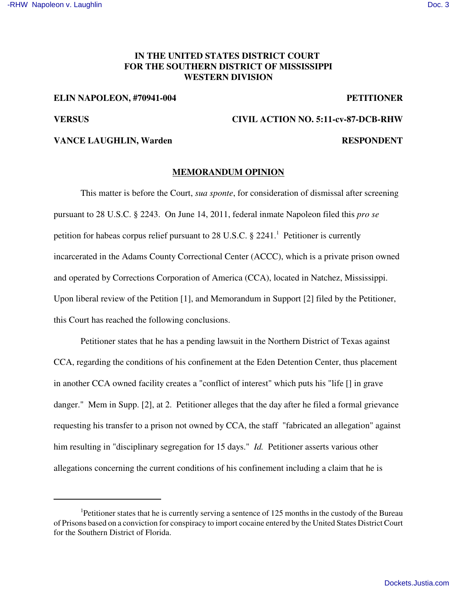# **IN THE UNITED STATES DISTRICT COURT FOR THE SOUTHERN DISTRICT OF MISSISSIPPI WESTERN DIVISION**

# **ELIN NAPOLEON, #70941-004 PETITIONER**

# **VERSUS CIVIL ACTION NO. 5:11-cv-87-DCB-RHW**

### **VANCE LAUGHLIN, Warden RESPONDENT**

## **MEMORANDUM OPINION**

This matter is before the Court, *sua sponte*, for consideration of dismissal after screening pursuant to 28 U.S.C. § 2243. On June 14, 2011, federal inmate Napoleon filed this *pro se* petition for habeas corpus relief pursuant to 28 U.S.C. § 2241. <sup>1</sup> Petitioner is currently incarcerated in the Adams County Correctional Center (ACCC), which is a private prison owned and operated by Corrections Corporation of America (CCA), located in Natchez, Mississippi. Upon liberal review of the Petition [1], and Memorandum in Support [2] filed by the Petitioner, this Court has reached the following conclusions.

Petitioner states that he has a pending lawsuit in the Northern District of Texas against CCA, regarding the conditions of his confinement at the Eden Detention Center, thus placement in another CCA owned facility creates a "conflict of interest" which puts his "life [] in grave danger." Mem in Supp. [2], at 2. Petitioner alleges that the day after he filed a formal grievance requesting his transfer to a prison not owned by CCA, the staff "fabricated an allegation" against him resulting in "disciplinary segregation for 15 days." *Id.* Petitioner asserts various other allegations concerning the current conditions of his confinement including a claim that he is

<sup>&</sup>lt;sup>1</sup>Petitioner states that he is currently serving a sentence of 125 months in the custody of the Bureau of Prisons based on a conviction for conspiracy to import cocaine entered by the United States District Court for the Southern District of Florida.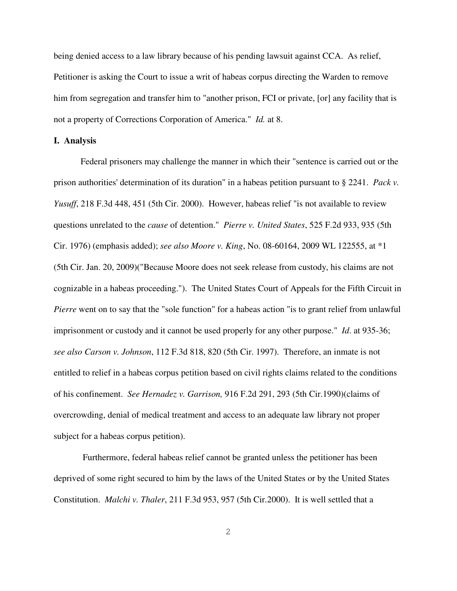being denied access to a law library because of his pending lawsuit against CCA. As relief, Petitioner is asking the Court to issue a writ of habeas corpus directing the Warden to remove him from segregation and transfer him to "another prison, FCI or private, [or] any facility that is not a property of Corrections Corporation of America." *Id.* at 8.

## **I. Analysis**

Federal prisoners may challenge the manner in which their "sentence is carried out or the prison authorities' determination of its duration" in a habeas petition pursuant to § 2241. *Pack v. Yusuff*, 218 F.3d 448, 451 (5th Cir. 2000). However, habeas relief "is not available to review questions unrelated to the *cause* of detention." *Pierre v. United States*, 525 F.2d 933, 935 (5th Cir. 1976) (emphasis added); *see also Moore v. King*, No. 08-60164, 2009 WL 122555, at \*1 (5th Cir. Jan. 20, 2009)("Because Moore does not seek release from custody, his claims are not cognizable in a habeas proceeding."). The United States Court of Appeals for the Fifth Circuit in *Pierre* went on to say that the "sole function" for a habeas action "is to grant relief from unlawful imprisonment or custody and it cannot be used properly for any other purpose." *Id*. at 935-36; *see also Carson v. Johnson*, 112 F.3d 818, 820 (5th Cir. 1997). Therefore, an inmate is not entitled to relief in a habeas corpus petition based on civil rights claims related to the conditions of his confinement. *See Hernadez v. Garrison,* 916 F.2d 291, 293 (5th Cir.1990)(claims of overcrowding, denial of medical treatment and access to an adequate law library not proper subject for a habeas corpus petition).

Furthermore, federal habeas relief cannot be granted unless the petitioner has been deprived of some right secured to him by the laws of the United States or by the United States Constitution. *Malchi v. Thaler*, 211 F.3d 953, 957 (5th Cir.2000). It is well settled that a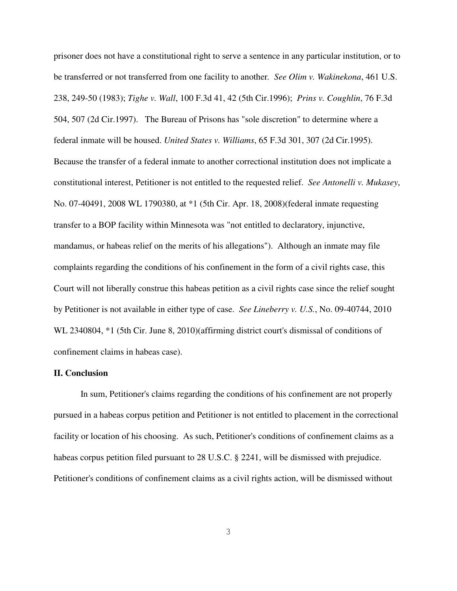prisoner does not have a constitutional right to serve a sentence in any particular institution, or to be transferred or not transferred from one facility to another*. See Olim v. Wakinekona*, 461 U.S. 238, 249-50 (1983); *Tighe v. Wall*, 100 F.3d 41, 42 (5th Cir.1996); *Prins v. Coughlin*, 76 F.3d 504, 507 (2d Cir.1997). The Bureau of Prisons has "sole discretion" to determine where a federal inmate will be housed. *United States v. Williams*, 65 F.3d 301, 307 (2d Cir.1995). Because the transfer of a federal inmate to another correctional institution does not implicate a constitutional interest, Petitioner is not entitled to the requested relief. *See Antonelli v. Mukasey*, No. 07-40491, 2008 WL 1790380, at \*1 (5th Cir. Apr. 18, 2008)(federal inmate requesting transfer to a BOP facility within Minnesota was "not entitled to declaratory, injunctive, mandamus, or habeas relief on the merits of his allegations"). Although an inmate may file complaints regarding the conditions of his confinement in the form of a civil rights case, this Court will not liberally construe this habeas petition as a civil rights case since the relief sought by Petitioner is not available in either type of case. *See Lineberry v. U.S.*, No. 09-40744, 2010 WL 2340804, \*1 (5th Cir. June 8, 2010)(affirming district court's dismissal of conditions of confinement claims in habeas case).

## **II. Conclusion**

In sum, Petitioner's claims regarding the conditions of his confinement are not properly pursued in a habeas corpus petition and Petitioner is not entitled to placement in the correctional facility or location of his choosing. As such, Petitioner's conditions of confinement claims as a habeas corpus petition filed pursuant to 28 U.S.C. § 2241, will be dismissed with prejudice. Petitioner's conditions of confinement claims as a civil rights action, will be dismissed without